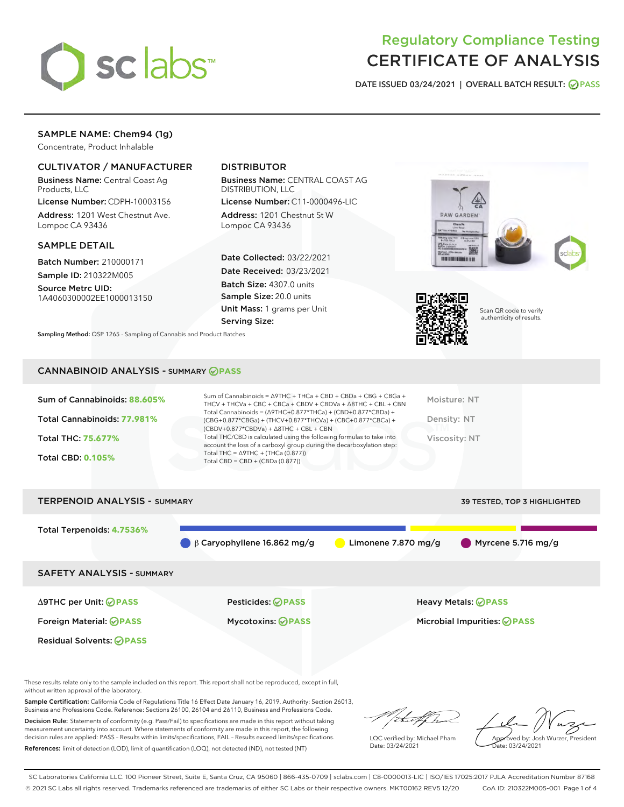

### Regulatory Compliance Testing CERTIFICATE OF ANALYSIS

DATE ISSUED 03/24/2021 | OVERALL BATCH RESULT: @ PASS

#### SAMPLE NAME: Chem94 (1g)

Concentrate, Product Inhalable

#### CULTIVATOR / MANUFACTURER

Business Name: Central Coast Ag Products, LLC

License Number: CDPH-10003156 Address: 1201 West Chestnut Ave. Lompoc CA 93436

#### SAMPLE DETAIL

Batch Number: 210000171 Sample ID: 210322M005

Source Metrc UID: 1A4060300002EE1000013150

#### DISTRIBUTOR

Business Name: CENTRAL COAST AG DISTRIBUTION, LLC

License Number: C11-0000496-LIC Address: 1201 Chestnut St W Lompoc CA 93436

Date Collected: 03/22/2021 Date Received: 03/23/2021 Batch Size: 4307.0 units Sample Size: 20.0 units Unit Mass: 1 grams per Unit Serving Size:

Sampling Method: QSP 1265 - Sampling of Cannabis and Product Batches

# **RAW GARDEN TO HIM LONDON HOME**



Scan QR code to verify authenticity of results.

#### CANNABINOID ANALYSIS - SUMMARY **PASS**

| Total Cannabinoids: 77.981%<br>Density: NT<br>(CBG+0.877*CBGa) + (THCV+0.877*THCVa) + (CBC+0.877*CBCa) +<br>$(CBDV+0.877*CBDVa) + \Delta 8THC + CBL + CBN$<br>Total THC/CBD is calculated using the following formulas to take into<br>Total THC: 75.677%<br>Viscosity: NT<br>account the loss of a carboxyl group during the decarboxylation step:<br>Total THC = $\triangle$ 9THC + (THCa (0.877))<br><b>Total CBD: 0.105%</b><br>Total CBD = $CBD + (CBDa (0.877))$ | Sum of Cannabinoids: 88.605% | Sum of Cannabinoids = $\triangle$ 9THC + THCa + CBD + CBDa + CBG + CBGa +<br>THCV + THCVa + CBC + CBCa + CBDV + CBDVa + $\Delta$ 8THC + CBL + CBN<br>Total Cannabinoids = $(\Delta$ 9THC+0.877*THCa) + (CBD+0.877*CBDa) + | Moisture: NT |
|------------------------------------------------------------------------------------------------------------------------------------------------------------------------------------------------------------------------------------------------------------------------------------------------------------------------------------------------------------------------------------------------------------------------------------------------------------------------|------------------------------|---------------------------------------------------------------------------------------------------------------------------------------------------------------------------------------------------------------------------|--------------|
|                                                                                                                                                                                                                                                                                                                                                                                                                                                                        |                              |                                                                                                                                                                                                                           |              |
|                                                                                                                                                                                                                                                                                                                                                                                                                                                                        |                              |                                                                                                                                                                                                                           |              |
|                                                                                                                                                                                                                                                                                                                                                                                                                                                                        |                              |                                                                                                                                                                                                                           |              |

## TERPENOID ANALYSIS - SUMMARY 39 TESTED, TOP 3 HIGHLIGHTED Total Terpenoids: **4.7536%** β Caryophyllene 16.862 mg/g Limonene 7.870 mg/g Myrcene 5.716 mg/g SAFETY ANALYSIS - SUMMARY Δ9THC per Unit: **PASS** Pesticides: **PASS** Heavy Metals: **PASS** Foreign Material: **PASS** Mycotoxins: **PASS** Microbial Impurities: **PASS** Residual Solvents: **PASS**

These results relate only to the sample included on this report. This report shall not be reproduced, except in full, without written approval of the laboratory.

Sample Certification: California Code of Regulations Title 16 Effect Date January 16, 2019. Authority: Section 26013, Business and Professions Code. Reference: Sections 26100, 26104 and 26110, Business and Professions Code.

Decision Rule: Statements of conformity (e.g. Pass/Fail) to specifications are made in this report without taking measurement uncertainty into account. Where statements of conformity are made in this report, the following decision rules are applied: PASS – Results within limits/specifications, FAIL – Results exceed limits/specifications. References: limit of detection (LOD), limit of quantification (LOQ), not detected (ND), not tested (NT)

that fCh

LQC verified by: Michael Pham Date: 03/24/2021

Approved by: Josh Wurzer, President ate: 03/24/2021

SC Laboratories California LLC. 100 Pioneer Street, Suite E, Santa Cruz, CA 95060 | 866-435-0709 | sclabs.com | C8-0000013-LIC | ISO/IES 17025:2017 PJLA Accreditation Number 87168 © 2021 SC Labs all rights reserved. Trademarks referenced are trademarks of either SC Labs or their respective owners. MKT00162 REV5 12/20 CoA ID: 210322M005-001 Page 1 of 4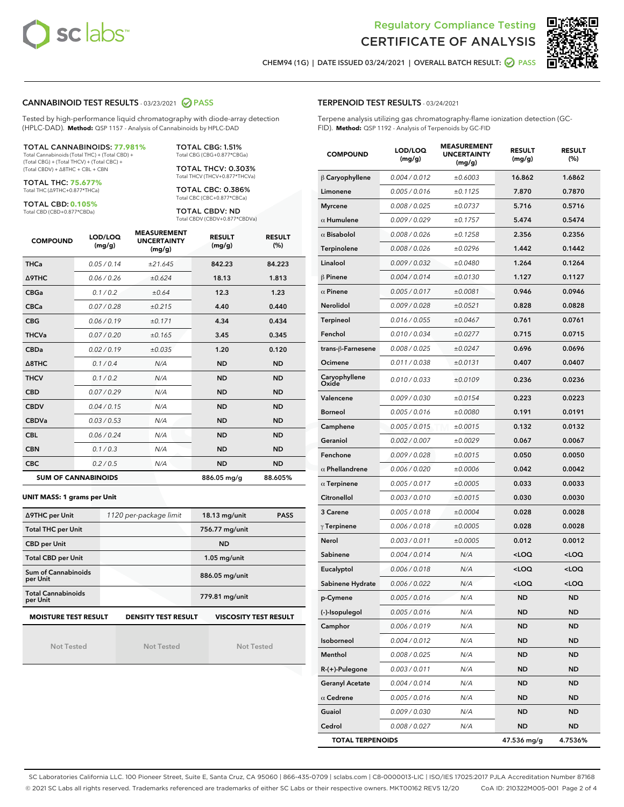



CHEM94 (1G) | DATE ISSUED 03/24/2021 | OVERALL BATCH RESULT: 2 PASS

#### CANNABINOID TEST RESULTS - 03/23/2021 @ PASS

Tested by high-performance liquid chromatography with diode-array detection (HPLC-DAD). **Method:** QSP 1157 - Analysis of Cannabinoids by HPLC-DAD

TOTAL CANNABINOIDS: **77.981%** Total Cannabinoids (Total THC) + (Total CBD) +

(Total CBG) + (Total THCV) + (Total CBC) + (Total CBDV) + ∆8THC + CBL + CBN

TOTAL THC: **75.677%** Total THC (∆9THC+0.877\*THCa)

TOTAL CBD: **0.105%**

Total CBD (CBD+0.877\*CBDa)

TOTAL CBG: 1.51% Total CBG (CBG+0.877\*CBGa) TOTAL THCV: 0.303%

Total THCV (THCV+0.877\*THCVa)

TOTAL CBC: 0.386% Total CBC (CBC+0.877\*CBCa)

TOTAL CBDV: ND Total CBDV (CBDV+0.877\*CBDVa)

| <b>COMPOUND</b> | LOD/LOQ<br>(mg/g)          | <b>MEASUREMENT</b><br><b>UNCERTAINTY</b><br>(mg/g) | <b>RESULT</b><br>(mg/g) | <b>RESULT</b><br>(%) |
|-----------------|----------------------------|----------------------------------------------------|-------------------------|----------------------|
| <b>THCa</b>     | 0.05/0.14                  | ±21.645                                            | 842.23                  | 84.223               |
| <b>A9THC</b>    | 0.06 / 0.26                | ±0.624                                             | 18.13                   | 1.813                |
| <b>CBGa</b>     | 0.1/0.2                    | ±0.64                                              | 12.3                    | 1.23                 |
| <b>CBCa</b>     | 0.07 / 0.28                | ±0.215                                             | 4.40                    | 0.440                |
| <b>CBG</b>      | 0.06/0.19                  | ±0.171                                             | 4.34                    | 0.434                |
| <b>THCVa</b>    | 0.07/0.20                  | ±0.165                                             | 3.45                    | 0.345                |
| <b>CBDa</b>     | 0.02/0.19                  | ±0.035                                             | 1.20                    | 0.120                |
| A8THC           | 0.1/0.4                    | N/A                                                | <b>ND</b>               | <b>ND</b>            |
| <b>THCV</b>     | 0.1/0.2                    | N/A                                                | <b>ND</b>               | <b>ND</b>            |
| <b>CBD</b>      | 0.07/0.29                  | N/A                                                | <b>ND</b>               | <b>ND</b>            |
| <b>CBDV</b>     | 0.04 / 0.15                | N/A                                                | <b>ND</b>               | <b>ND</b>            |
| <b>CBDVa</b>    | 0.03/0.53                  | N/A                                                | <b>ND</b>               | <b>ND</b>            |
| <b>CBL</b>      | 0.06 / 0.24                | N/A                                                | <b>ND</b>               | <b>ND</b>            |
| <b>CBN</b>      | 0.1/0.3                    | N/A                                                | <b>ND</b>               | <b>ND</b>            |
| <b>CBC</b>      | 0.2 / 0.5                  | N/A                                                | <b>ND</b>               | <b>ND</b>            |
|                 | <b>SUM OF CANNABINOIDS</b> |                                                    | 886.05 mg/g             | 88.605%              |

#### **UNIT MASS: 1 grams per Unit**

| ∆9THC per Unit                                                                            | 1120 per-package limit | 18.13 mg/unit<br><b>PASS</b> |  |  |  |
|-------------------------------------------------------------------------------------------|------------------------|------------------------------|--|--|--|
| <b>Total THC per Unit</b>                                                                 |                        | 756.77 mg/unit               |  |  |  |
| <b>CBD per Unit</b>                                                                       |                        | <b>ND</b>                    |  |  |  |
| <b>Total CBD per Unit</b>                                                                 |                        | $1.05$ mg/unit               |  |  |  |
| Sum of Cannabinoids<br>per Unit                                                           |                        | 886.05 mg/unit               |  |  |  |
| <b>Total Cannabinoids</b><br>per Unit                                                     |                        | 779.81 mg/unit               |  |  |  |
| <b>MOISTURE TEST RESULT</b><br><b>DENSITY TEST RESULT</b><br><b>VISCOSITY TEST RESULT</b> |                        |                              |  |  |  |

Not Tested

Not Tested

Not Tested

#### TERPENOID TEST RESULTS - 03/24/2021

Terpene analysis utilizing gas chromatography-flame ionization detection (GC-FID). **Method:** QSP 1192 - Analysis of Terpenoids by GC-FID

| <b>COMPOUND</b>         | LOD/LOQ<br>(mg/g) | <b>MEASUREMENT</b><br><b>UNCERTAINTY</b><br>(mg/g) | <b>RESULT</b><br>(mg/g)                          | <b>RESULT</b><br>(%) |
|-------------------------|-------------------|----------------------------------------------------|--------------------------------------------------|----------------------|
| $\beta$ Caryophyllene   | 0.004 / 0.012     | ±0.6003                                            | 16.862                                           | 1.6862               |
| Limonene                | 0.005 / 0.016     | ±0.1125                                            | 7.870                                            | 0.7870               |
| <b>Myrcene</b>          | 0.008 / 0.025     | ±0.0737                                            | 5.716                                            | 0.5716               |
| $\alpha$ Humulene       | 0.009 / 0.029     | ±0.1757                                            | 5.474                                            | 0.5474               |
| $\alpha$ Bisabolol      | 0.008 / 0.026     | ±0.1258                                            | 2.356                                            | 0.2356               |
| Terpinolene             | 0.008 / 0.026     | ±0.0296                                            | 1.442                                            | 0.1442               |
| Linalool                | 0.009 / 0.032     | ±0.0480                                            | 1.264                                            | 0.1264               |
| $\beta$ Pinene          | 0.004 / 0.014     | ±0.0130                                            | 1.127                                            | 0.1127               |
| $\alpha$ Pinene         | 0.005 / 0.017     | ±0.0081                                            | 0.946                                            | 0.0946               |
| Nerolidol               | 0.009 / 0.028     | ±0.0521                                            | 0.828                                            | 0.0828               |
| Terpineol               | 0.016 / 0.055     | ±0.0467                                            | 0.761                                            | 0.0761               |
| Fenchol                 | 0.010 / 0.034     | ±0.0277                                            | 0.715                                            | 0.0715               |
| trans-β-Farnesene       | 0.008 / 0.025     | ±0.0247                                            | 0.696                                            | 0.0696               |
| Ocimene                 | 0.011 / 0.038     | ±0.0131                                            | 0.407                                            | 0.0407               |
| Caryophyllene<br>Oxide  | 0.010 / 0.033     | ±0.0109                                            | 0.236                                            | 0.0236               |
| Valencene               | 0.009 / 0.030     | ±0.0154                                            | 0.223                                            | 0.0223               |
| <b>Borneol</b>          | 0.005 / 0.016     | ±0.0080                                            | 0.191                                            | 0.0191               |
| Camphene                | 0.005 / 0.015     | ±0.0015                                            | 0.132                                            | 0.0132               |
| Geraniol                | 0.002 / 0.007     | ±0.0029                                            | 0.067                                            | 0.0067               |
| Fenchone                | 0.009 / 0.028     | ±0.0015                                            | 0.050                                            | 0.0050               |
| $\alpha$ Phellandrene   | 0.006 / 0.020     | ±0.0006                                            | 0.042                                            | 0.0042               |
| $\alpha$ Terpinene      | 0.005 / 0.017     | ±0.0005                                            | 0.033                                            | 0.0033               |
| Citronellol             | 0.003 / 0.010     | ±0.0015                                            | 0.030                                            | 0.0030               |
| 3 Carene                | 0.005 / 0.018     | ±0.0004                                            | 0.028                                            | 0.0028               |
| $\gamma$ Terpinene      | 0.006 / 0.018     | ±0.0005                                            | 0.028                                            | 0.0028               |
| Nerol                   | 0.003 / 0.011     | ±0.0005                                            | 0.012                                            | 0.0012               |
| Sabinene                | 0.004 / 0.014     | N/A                                                | <loq< th=""><th><math>&lt;</math>LOQ</th></loq<> | $<$ LOQ              |
| Eucalyptol              | 0.006 / 0.018     | N/A                                                | <loq< th=""><th><loq< th=""></loq<></th></loq<>  | <loq< th=""></loq<>  |
| Sabinene Hydrate        | 0.006 / 0.022     | N/A                                                | <loq< th=""><th><loq< th=""></loq<></th></loq<>  | <loq< th=""></loq<>  |
| p-Cymene                | 0.005 / 0.016     | N/A                                                | <b>ND</b>                                        | ND                   |
| (-)-Isopulegol          | 0.005 / 0.016     | N/A                                                | ND                                               | <b>ND</b>            |
| Camphor                 | 0.006 / 0.019     | N/A                                                | <b>ND</b>                                        | ND                   |
| Isoborneol              | 0.004 / 0.012     | N/A                                                | ND                                               | <b>ND</b>            |
| Menthol                 | 0.008 / 0.025     | N/A                                                | <b>ND</b>                                        | <b>ND</b>            |
| R-(+)-Pulegone          | 0.003 / 0.011     | N/A                                                | ND                                               | ND                   |
| <b>Geranyl Acetate</b>  | 0.004 / 0.014     | N/A                                                | ND                                               | ND                   |
| $\alpha$ Cedrene        | 0.005 / 0.016     | N/A                                                | ND                                               | <b>ND</b>            |
| Guaiol                  | 0.009 / 0.030     | N/A                                                | ND                                               | ND                   |
| Cedrol                  | 0.008 / 0.027     | N/A                                                | ND                                               | <b>ND</b>            |
| <b>TOTAL TERPENOIDS</b> |                   |                                                    | 47.536 mg/g                                      | 4.7536%              |

SC Laboratories California LLC. 100 Pioneer Street, Suite E, Santa Cruz, CA 95060 | 866-435-0709 | sclabs.com | C8-0000013-LIC | ISO/IES 17025:2017 PJLA Accreditation Number 87168 © 2021 SC Labs all rights reserved. Trademarks referenced are trademarks of either SC Labs or their respective owners. MKT00162 REV5 12/20 CoA ID: 210322M005-001 Page 2 of 4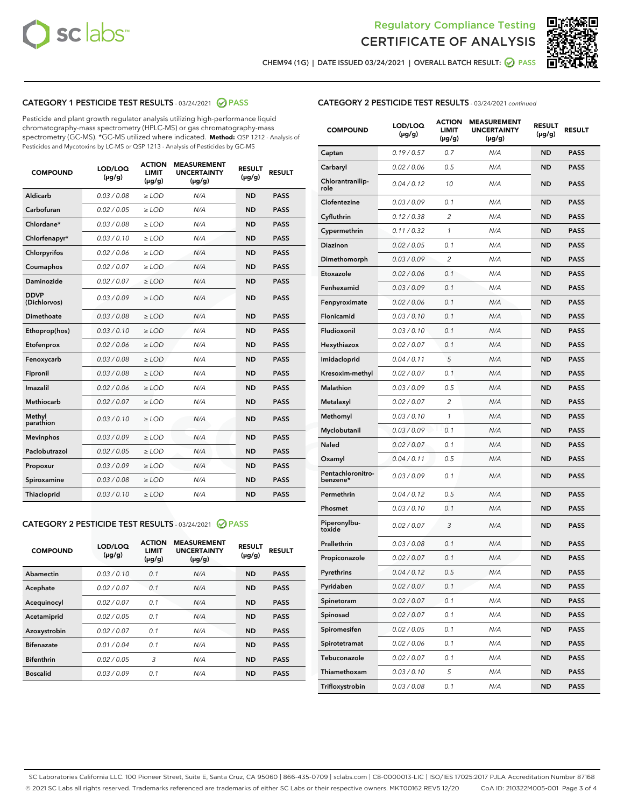



CHEM94 (1G) | DATE ISSUED 03/24/2021 | OVERALL BATCH RESULT: ◯ PASS

#### CATEGORY 1 PESTICIDE TEST RESULTS - 03/24/2021 2 PASS

Pesticide and plant growth regulator analysis utilizing high-performance liquid chromatography-mass spectrometry (HPLC-MS) or gas chromatography-mass spectrometry (GC-MS). \*GC-MS utilized where indicated. **Method:** QSP 1212 - Analysis of Pesticides and Mycotoxins by LC-MS or QSP 1213 - Analysis of Pesticides by GC-MS

| <b>COMPOUND</b>             | LOD/LOQ<br>$(\mu g/g)$ | <b>ACTION</b><br><b>LIMIT</b><br>$(\mu g/g)$ | <b>MEASUREMENT</b><br><b>UNCERTAINTY</b><br>$(\mu g/g)$ | <b>RESULT</b><br>$(\mu g/g)$ | <b>RESULT</b> |
|-----------------------------|------------------------|----------------------------------------------|---------------------------------------------------------|------------------------------|---------------|
| Aldicarb                    | 0.03 / 0.08            | $\ge$ LOD                                    | N/A                                                     | <b>ND</b>                    | <b>PASS</b>   |
| Carbofuran                  | 0.02/0.05              | $>$ LOD                                      | N/A                                                     | <b>ND</b>                    | <b>PASS</b>   |
| Chlordane*                  | 0.03 / 0.08            | $\ge$ LOD                                    | N/A                                                     | <b>ND</b>                    | <b>PASS</b>   |
| Chlorfenapyr*               | 0.03/0.10              | $\ge$ LOD                                    | N/A                                                     | <b>ND</b>                    | <b>PASS</b>   |
| Chlorpyrifos                | 0.02 / 0.06            | $\ge$ LOD                                    | N/A                                                     | <b>ND</b>                    | <b>PASS</b>   |
| Coumaphos                   | 0.02/0.07              | $>$ LOD                                      | N/A                                                     | <b>ND</b>                    | <b>PASS</b>   |
| <b>Daminozide</b>           | 0.02 / 0.07            | $\ge$ LOD                                    | N/A                                                     | <b>ND</b>                    | <b>PASS</b>   |
| <b>DDVP</b><br>(Dichlorvos) | 0.03/0.09              | $\ge$ LOD                                    | N/A                                                     | <b>ND</b>                    | <b>PASS</b>   |
| <b>Dimethoate</b>           | 0.03/0.08              | $\ge$ LOD                                    | N/A                                                     | <b>ND</b>                    | <b>PASS</b>   |
| Ethoprop(hos)               | 0.03/0.10              | $\ge$ LOD                                    | N/A                                                     | <b>ND</b>                    | <b>PASS</b>   |
| Etofenprox                  | 0.02 / 0.06            | $>$ LOD                                      | N/A                                                     | <b>ND</b>                    | <b>PASS</b>   |
| Fenoxycarb                  | 0.03/0.08              | $\ge$ LOD                                    | N/A                                                     | <b>ND</b>                    | <b>PASS</b>   |
| Fipronil                    | 0.03/0.08              | $>$ LOD                                      | N/A                                                     | <b>ND</b>                    | <b>PASS</b>   |
| Imazalil                    | 0.02 / 0.06            | $\ge$ LOD                                    | N/A                                                     | <b>ND</b>                    | <b>PASS</b>   |
| Methiocarb                  | 0.02 / 0.07            | $\ge$ LOD                                    | N/A                                                     | <b>ND</b>                    | <b>PASS</b>   |
| Methyl<br>parathion         | 0.03/0.10              | $>$ LOD                                      | N/A                                                     | <b>ND</b>                    | <b>PASS</b>   |
| <b>Mevinphos</b>            | 0.03/0.09              | $>$ LOD                                      | N/A                                                     | <b>ND</b>                    | <b>PASS</b>   |
| Paclobutrazol               | 0.02 / 0.05            | $\ge$ LOD                                    | N/A                                                     | <b>ND</b>                    | <b>PASS</b>   |
| Propoxur                    | 0.03/0.09              | $>$ LOD                                      | N/A                                                     | <b>ND</b>                    | <b>PASS</b>   |
| Spiroxamine                 | 0.03 / 0.08            | $\ge$ LOD                                    | N/A                                                     | <b>ND</b>                    | <b>PASS</b>   |
| Thiacloprid                 | 0.03/0.10              | $\ge$ LOD                                    | N/A                                                     | <b>ND</b>                    | <b>PASS</b>   |

#### CATEGORY 2 PESTICIDE TEST RESULTS - 03/24/2021 @ PASS

| <b>COMPOUND</b>   | LOD/LOQ<br>$(\mu g/g)$ | <b>ACTION</b><br><b>LIMIT</b><br>$(\mu g/g)$ | <b>MEASUREMENT</b><br><b>UNCERTAINTY</b><br>$(\mu g/g)$ | <b>RESULT</b><br>$(\mu g/g)$ | <b>RESULT</b> |
|-------------------|------------------------|----------------------------------------------|---------------------------------------------------------|------------------------------|---------------|
| Abamectin         | 0.03/0.10              | 0.1                                          | N/A                                                     | <b>ND</b>                    | <b>PASS</b>   |
| Acephate          | 0.02/0.07              | 0.1                                          | N/A                                                     | <b>ND</b>                    | <b>PASS</b>   |
| Acequinocyl       | 0.02/0.07              | 0.1                                          | N/A                                                     | <b>ND</b>                    | <b>PASS</b>   |
| Acetamiprid       | 0.02/0.05              | 0.1                                          | N/A                                                     | <b>ND</b>                    | <b>PASS</b>   |
| Azoxystrobin      | 0.02/0.07              | 0.1                                          | N/A                                                     | <b>ND</b>                    | <b>PASS</b>   |
| <b>Bifenazate</b> | 0.01/0.04              | 0.1                                          | N/A                                                     | <b>ND</b>                    | <b>PASS</b>   |
| <b>Bifenthrin</b> | 0.02/0.05              | 3                                            | N/A                                                     | <b>ND</b>                    | <b>PASS</b>   |
| <b>Boscalid</b>   | 0.03/0.09              | 0.1                                          | N/A                                                     | <b>ND</b>                    | <b>PASS</b>   |

|  | <b>CATEGORY 2 PESTICIDE TEST RESULTS</b> - 03/24/2021 continued |  |  |  |
|--|-----------------------------------------------------------------|--|--|--|
|--|-----------------------------------------------------------------|--|--|--|

| <b>COMPOUND</b>                 | <b>LOD/LOQ</b><br>$(\mu g/g)$ | <b>ACTION</b><br><b>LIMIT</b><br>(µg/g) | <b>MEASUREMENT</b><br><b>UNCERTAINTY</b><br>(µg/g) | <b>RESULT</b><br>(µg/g) | <b>RESULT</b> |
|---------------------------------|-------------------------------|-----------------------------------------|----------------------------------------------------|-------------------------|---------------|
| Captan                          | 0.19/0.57                     | 0.7                                     | N/A                                                | ND                      | <b>PASS</b>   |
| Carbaryl                        | 0.02 / 0.06                   | 0.5                                     | N/A                                                | ND                      | <b>PASS</b>   |
| <b>Chlorantranilip-</b><br>role | 0.04 / 0.12                   | 10                                      | N/A                                                | ND                      | <b>PASS</b>   |
| Clofentezine                    | 0.03/0.09                     | 0.1                                     | N/A                                                | <b>ND</b>               | <b>PASS</b>   |
| Cyfluthrin                      | 0.12 / 0.38                   | 2                                       | N/A                                                | ND                      | <b>PASS</b>   |
| Cypermethrin                    | 0.11 / 0.32                   | $\mathbf{1}$                            | N/A                                                | ND                      | <b>PASS</b>   |
| <b>Diazinon</b>                 | 0.02 / 0.05                   | 0.1                                     | N/A                                                | ND                      | <b>PASS</b>   |
| Dimethomorph                    | 0.03 / 0.09                   | 2                                       | N/A                                                | ND                      | <b>PASS</b>   |
| Etoxazole                       | 0.02 / 0.06                   | 0.1                                     | N/A                                                | ND                      | <b>PASS</b>   |
| Fenhexamid                      | 0.03 / 0.09                   | 0.1                                     | N/A                                                | ND                      | <b>PASS</b>   |
| Fenpyroximate                   | 0.02 / 0.06                   | 0.1                                     | N/A                                                | ND                      | <b>PASS</b>   |
| Flonicamid                      | 0.03 / 0.10                   | 0.1                                     | N/A                                                | ND                      | <b>PASS</b>   |
| Fludioxonil                     | 0.03/0.10                     | 0.1                                     | N/A                                                | ND                      | <b>PASS</b>   |
| Hexythiazox                     | 0.02 / 0.07                   | 0.1                                     | N/A                                                | ND                      | <b>PASS</b>   |
| Imidacloprid                    | 0.04 / 0.11                   | 5                                       | N/A                                                | ND                      | <b>PASS</b>   |
| Kresoxim-methyl                 | 0.02 / 0.07                   | 0.1                                     | N/A                                                | ND                      | <b>PASS</b>   |
| <b>Malathion</b>                | 0.03 / 0.09                   | 0.5                                     | N/A                                                | ND                      | <b>PASS</b>   |
| Metalaxyl                       | 0.02 / 0.07                   | 2                                       | N/A                                                | ND                      | <b>PASS</b>   |
| Methomyl                        | 0.03/0.10                     | 1                                       | N/A                                                | ND                      | <b>PASS</b>   |
| Myclobutanil                    | 0.03 / 0.09                   | 0.1                                     | N/A                                                | ND                      | <b>PASS</b>   |
| Naled                           | 0.02 / 0.07                   | 0.1                                     | N/A                                                | ND                      | <b>PASS</b>   |
| Oxamyl                          | 0.04 / 0.11                   | 0.5                                     | N/A                                                | ND                      | <b>PASS</b>   |
| Pentachloronitro-<br>benzene*   | 0.03 / 0.09                   | 0.1                                     | N/A                                                | ND                      | PASS          |
| Permethrin                      | 0.04 / 0.12                   | 0.5                                     | N/A                                                | ND                      | <b>PASS</b>   |
| Phosmet                         | 0.03 / 0.10                   | 0.1                                     | N/A                                                | ND                      | <b>PASS</b>   |
| Piperonylbu-<br>toxide          | 0.02 / 0.07                   | 3                                       | N/A                                                | ND                      | <b>PASS</b>   |
| Prallethrin                     | 0.03 / 0.08                   | 0.1                                     | N/A                                                | ND                      | <b>PASS</b>   |
| Propiconazole                   | 0.02 / 0.07                   | 0.1                                     | N/A                                                | ND                      | <b>PASS</b>   |
| Pyrethrins                      | 0.04 / 0.12                   | 0.5                                     | N/A                                                | ND                      | PASS          |
| Pyridaben                       | 0.02 / 0.07                   | 0.1                                     | N/A                                                | ND                      | PASS          |
| Spinetoram                      | 0.02 / 0.07                   | 0.1                                     | N/A                                                | ND                      | <b>PASS</b>   |
| Spinosad                        | 0.02 / 0.07                   | 0.1                                     | N/A                                                | ND                      | <b>PASS</b>   |
| Spiromesifen                    | 0.02 / 0.05                   | 0.1                                     | N/A                                                | <b>ND</b>               | <b>PASS</b>   |
| Spirotetramat                   | 0.02 / 0.06                   | 0.1                                     | N/A                                                | <b>ND</b>               | <b>PASS</b>   |
| Tebuconazole                    | 0.02 / 0.07                   | 0.1                                     | N/A                                                | ND                      | <b>PASS</b>   |
| Thiamethoxam                    | 0.03 / 0.10                   | 5                                       | N/A                                                | <b>ND</b>               | <b>PASS</b>   |
| Trifloxystrobin                 | 0.03 / 0.08                   | 0.1                                     | N/A                                                | <b>ND</b>               | PASS          |